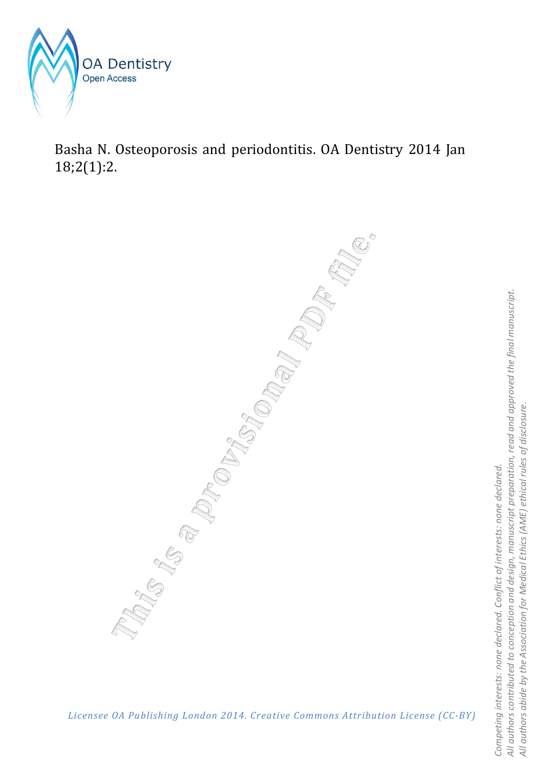

Basha N. Osteoporosis and periodontitis. OA Dentistry 2014 Jan 18;2(1):2.

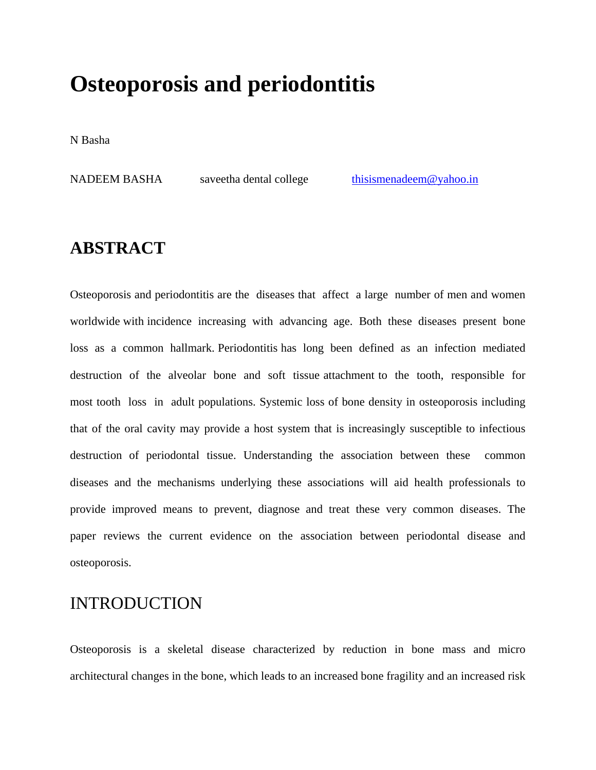# **Osteoporosis and periodontitis**

N Basha

NADEEM BASHA saveetha dental college thisismenadeem@yahoo.in

## **ABSTRACT**

Osteoporosis and periodontitis are the diseases that affect a large number of men and women worldwide with incidence increasing with advancing age. Both these diseases present bone loss as a common hallmark. Periodontitis has long been defined as an infection mediated destruction of the alveolar bone and soft tissue attachment to the tooth, responsible for most tooth loss in adult populations. Systemic loss of bone density in osteoporosis including that of the oral cavity may provide a host system that is increasingly susceptible to infectious destruction of periodontal tissue. Understanding the association between these common diseases and the mechanisms underlying these associations will aid health professionals to provide improved means to prevent, diagnose and treat these very common diseases. The paper reviews the current evidence on the association between periodontal disease and osteoporosis.

### INTRODUCTION

Osteoporosis is a skeletal disease characterized by reduction in bone mass and micro architectural changes in the bone, which leads to an increased bone fragility and an increased risk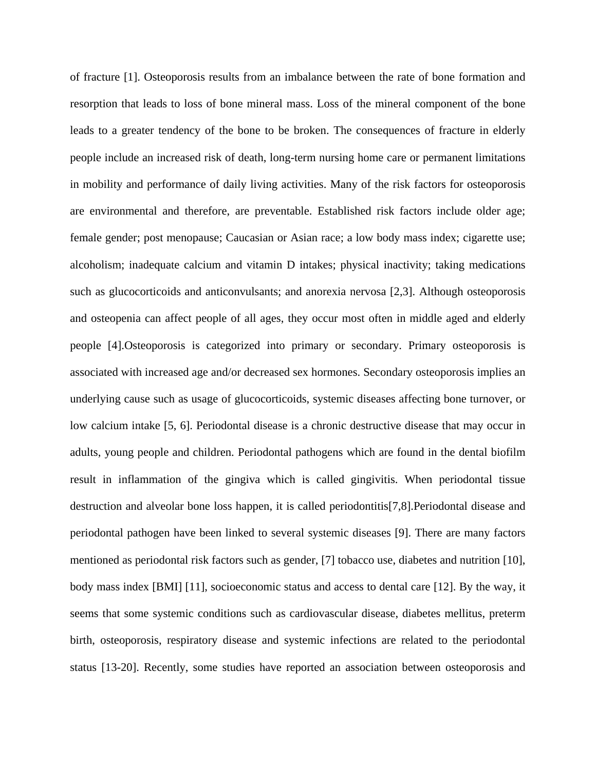of fracture [1]. Osteoporosis results from an imbalance between the rate of bone formation and resorption that leads to loss of bone mineral mass. Loss of the mineral component of the bone leads to a greater tendency of the bone to be broken. The consequences of fracture in elderly people include an increased risk of death, long-term nursing home care or permanent limitations in mobility and performance of daily living activities. Many of the risk factors for osteoporosis are environmental and therefore, are preventable. Established risk factors include older age; female gender; post menopause; Caucasian or Asian race; a low body mass index; cigarette use; alcoholism; inadequate calcium and vitamin D intakes; physical inactivity; taking medications such as glucocorticoids and anticonvulsants; and anorexia nervosa [2,3]. Although osteoporosis and osteopenia can affect people of all ages, they occur most often in middle aged and elderly people [4].Osteoporosis is categorized into primary or secondary. Primary osteoporosis is associated with increased age and/or decreased sex hormones. Secondary osteoporosis implies an underlying cause such as usage of glucocorticoids, systemic diseases affecting bone turnover, or low calcium intake [5, 6]. Periodontal disease is a chronic destructive disease that may occur in adults, young people and children. Periodontal pathogens which are found in the dental biofilm result in inflammation of the gingiva which is called gingivitis. When periodontal tissue destruction and alveolar bone loss happen, it is called periodontitis[7,8].Periodontal disease and periodontal pathogen have been linked to several systemic diseases [9]. There are many factors mentioned as periodontal risk factors such as gender, [7] tobacco use, diabetes and nutrition [10], body mass index [BMI] [11], socioeconomic status and access to dental care [12]. By the way, it seems that some systemic conditions such as cardiovascular disease, diabetes mellitus, preterm birth, osteoporosis, respiratory disease and systemic infections are related to the periodontal status [13-20]. Recently, some studies have reported an association between osteoporosis and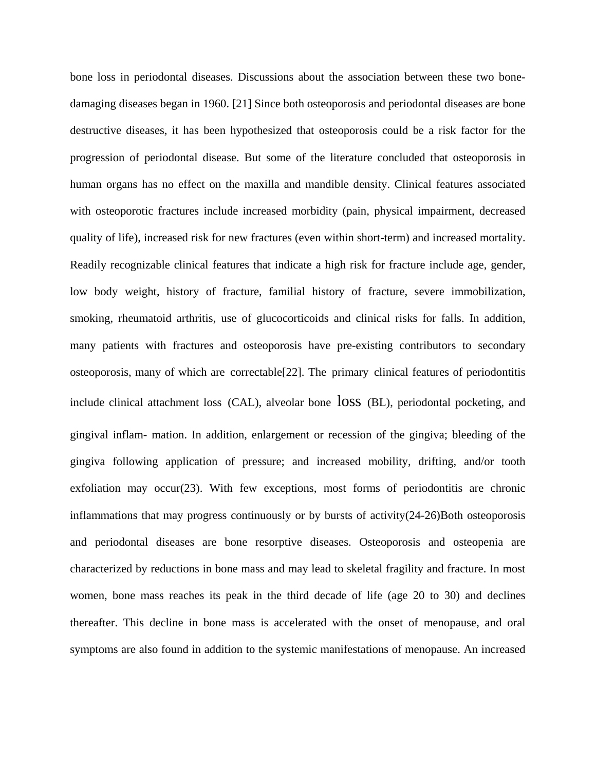bone loss in periodontal diseases. Discussions about the association between these two bonedamaging diseases began in 1960. [21] Since both osteoporosis and periodontal diseases are bone destructive diseases, it has been hypothesized that osteoporosis could be a risk factor for the progression of periodontal disease. But some of the literature concluded that osteoporosis in human organs has no effect on the maxilla and mandible density. Clinical features associated with osteoporotic fractures include increased morbidity (pain, physical impairment, decreased quality of life), increased risk for new fractures (even within short-term) and increased mortality. Readily recognizable clinical features that indicate a high risk for fracture include age, gender, low body weight, history of fracture, familial history of fracture, severe immobilization, smoking, rheumatoid arthritis, use of glucocorticoids and clinical risks for falls. In addition, many patients with fractures and osteoporosis have pre-existing contributors to secondary osteoporosis, many of which are correctable[22]. The primary clinical features of periodontitis include clinical attachment loss (CAL), alveolar bone loss (BL), periodontal pocketing, and gingival inflam- mation. In addition, enlargement or recession of the gingiva; bleeding of the gingiva following application of pressure; and increased mobility, drifting, and/or tooth exfoliation may occur(23). With few exceptions, most forms of periodontitis are chronic inflammations that may progress continuously or by bursts of activity(24-26)Both osteoporosis and periodontal diseases are bone resorptive diseases. Osteoporosis and osteopenia are characterized by reductions in bone mass and may lead to skeletal fragility and fracture. In most women, bone mass reaches its peak in the third decade of life (age 20 to 30) and declines thereafter. This decline in bone mass is accelerated with the onset of menopause, and oral symptoms are also found in addition to the systemic manifestations of menopause. An increased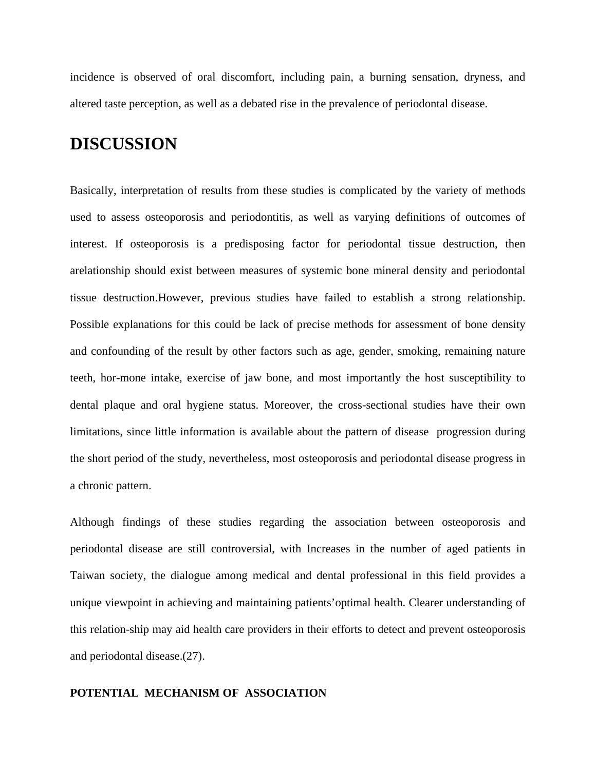incidence is observed of oral discomfort, including pain, a burning sensation, dryness, and altered taste perception, as well as a debated rise in the prevalence of periodontal disease.

### **DISCUSSION**

Basically, interpretation of results from these studies is complicated by the variety of methods used to assess osteoporosis and periodontitis, as well as varying definitions of outcomes of interest. If osteoporosis is a predisposing factor for periodontal tissue destruction, then arelationship should exist between measures of systemic bone mineral density and periodontal tissue destruction.However, previous studies have failed to establish a strong relationship. Possible explanations for this could be lack of precise methods for assessment of bone density and confounding of the result by other factors such as age, gender, smoking, remaining nature teeth, hor-mone intake, exercise of jaw bone, and most importantly the host susceptibility to dental plaque and oral hygiene status. Moreover, the cross-sectional studies have their own limitations, since little information is available about the pattern of disease progression during the short period of the study, nevertheless, most osteoporosis and periodontal disease progress in a chronic pattern.

Although findings of these studies regarding the association between osteoporosis and periodontal disease are still controversial, with Increases in the number of aged patients in Taiwan society, the dialogue among medical and dental professional in this field provides a unique viewpoint in achieving and maintaining patients'optimal health. Clearer understanding of this relation-ship may aid health care providers in their efforts to detect and prevent osteoporosis and periodontal disease.(27).

#### **POTENTIAL MECHANISM OF ASSOCIATION**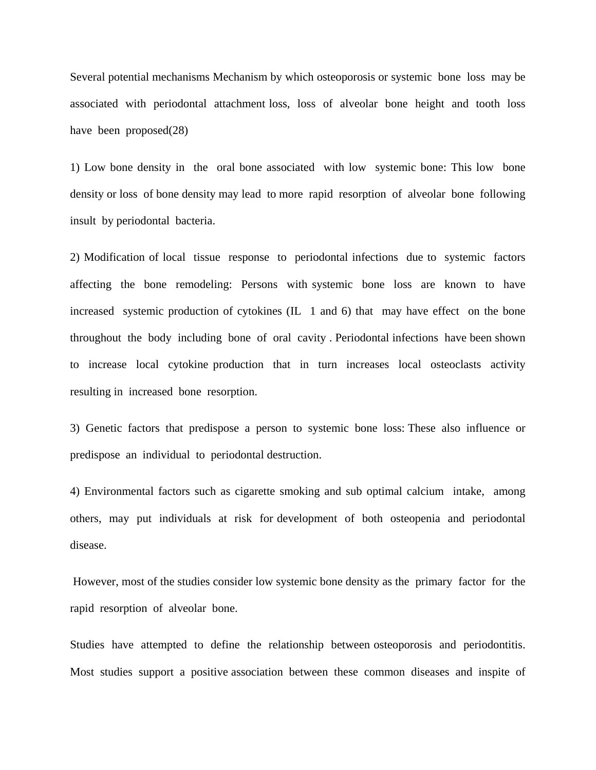Several potential mechanisms Mechanism by which osteoporosis or systemic bone loss may be associated with periodontal attachment loss, loss of alveolar bone height and tooth loss have been proposed(28)

1) Low bone density in the oral bone associated with low systemic bone: This low bone density or loss of bone density may lead to more rapid resorption of alveolar bone following insult by periodontal bacteria.

2) Modification of local tissue response to periodontal infections due to systemic factors affecting the bone remodeling: Persons with systemic bone loss are known to have increased systemic production of cytokines (IL 1 and 6) that may have effect on the bone throughout the body including bone of oral cavity . Periodontal infections have been shown to increase local cytokine production that in turn increases local osteoclasts activity resulting in increased bone resorption.

3) Genetic factors that predispose a person to systemic bone loss: These also influence or predispose an individual to periodontal destruction.

4) Environmental factors such as cigarette smoking and sub optimal calcium intake, among others, may put individuals at risk for development of both osteopenia and periodontal disease.

However, most of the studies consider low systemic bone density as the primary factor for the rapid resorption of alveolar bone.

Studies have attempted to define the relationship between osteoporosis and periodontitis. Most studies support a positive association between these common diseases and inspite of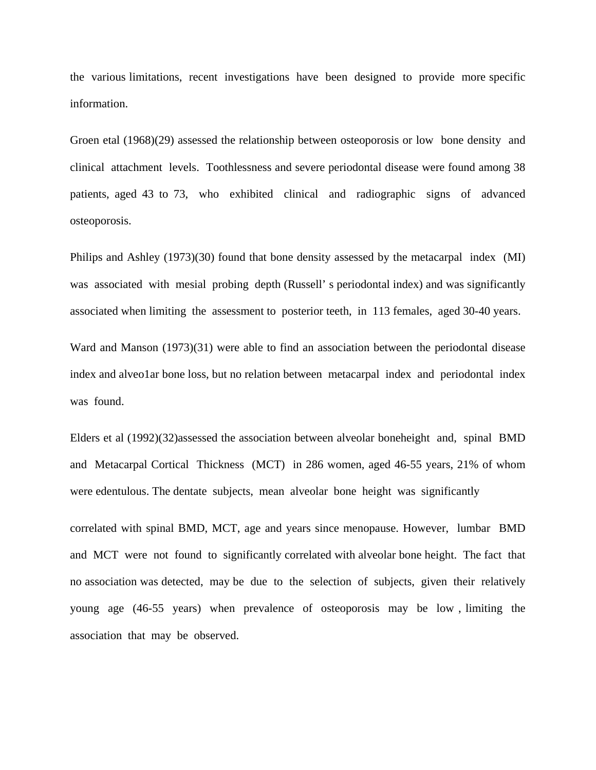the various limitations, recent investigations have been designed to provide more specific information.

Groen etal (1968)(29) assessed the relationship between osteoporosis or low bone density and clinical attachment levels. Toothlessness and severe periodontal disease were found among 38 patients, aged 43 to 73, who exhibited clinical and radiographic signs of advanced osteoporosis.

Philips and Ashley (1973)(30) found that bone density assessed by the metacarpal index (MI) was associated with mesial probing depth (Russell' s periodontal index) and was significantly associated when limiting the assessment to posterior teeth, in 113 females, aged 30-40 years.

Ward and Manson (1973)(31) were able to find an association between the periodontal disease index and alveo1ar bone loss, but no relation between metacarpal index and periodontal index was found.

Elders et al (1992)(32)assessed the association between alveolar boneheight and, spinal BMD and Metacarpal Cortical Thickness (MCT) in 286 women, aged 46-55 years, 21% of whom were edentulous. The dentate subjects, mean alveolar bone height was significantly

correlated with spinal BMD, MCT, age and years since menopause. However, lumbar BMD and MCT were not found to significantly correlated with alveolar bone height. The fact that no association was detected, may be due to the selection of subjects, given their relatively young age (46-55 years) when prevalence of osteoporosis may be low , limiting the association that may be observed.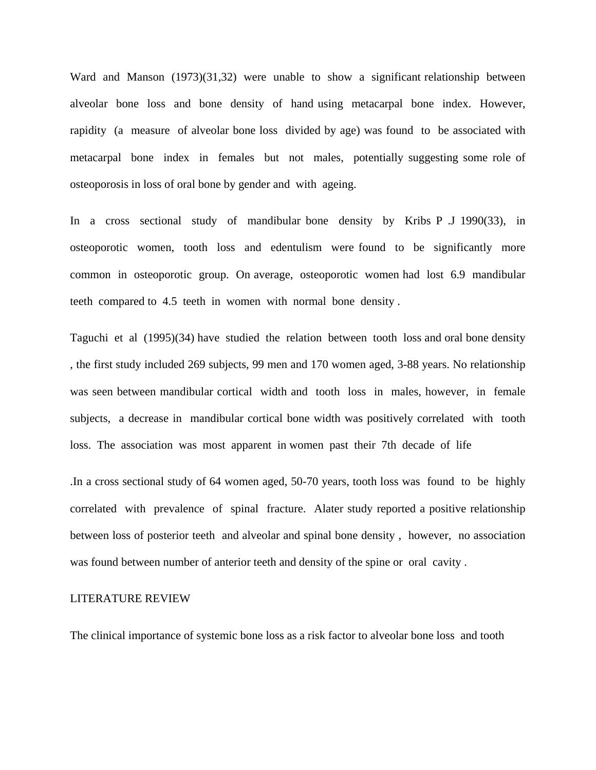Ward and Manson (1973)(31,32) were unable to show a significant relationship between alveolar bone loss and bone density of hand using metacarpal bone index. However, rapidity (a measure of alveolar bone loss divided by age) was found to be associated with metacarpal bone index in females but not males, potentially suggesting some role of osteoporosis in loss of oral bone by gender and with ageing.

In a cross sectional study of mandibular bone density by Kribs P .J 1990(33), in osteoporotic women, tooth loss and edentulism were found to be significantly more common in osteoporotic group. On average, osteoporotic women had lost 6.9 mandibular teeth compared to 4.5 teeth in women with normal bone density .

Taguchi et al (1995)(34) have studied the relation between tooth loss and oral bone density , the first study included 269 subjects, 99 men and 170 women aged, 3-88 years. No relationship was seen between mandibular cortical width and tooth loss in males, however, in female subjects, a decrease in mandibular cortical bone width was positively correlated with tooth loss. The association was most apparent in women past their 7th decade of life

.In a cross sectional study of 64 women aged, 50-70 years, tooth loss was found to be highly correlated with prevalence of spinal fracture. Alater study reported a positive relationship between loss of posterior teeth and alveolar and spinal bone density , however, no association was found between number of anterior teeth and density of the spine or oral cavity .

#### LITERATURE REVIEW

The clinical importance of systemic bone loss as a risk factor to alveolar bone loss and tooth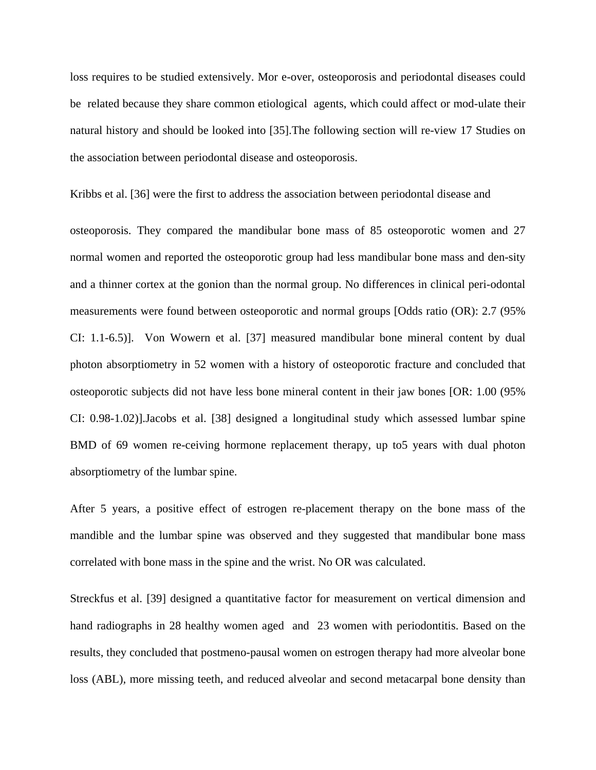loss requires to be studied extensively. Mor e-over, osteoporosis and periodontal diseases could be related because they share common etiological agents, which could affect or mod-ulate their natural history and should be looked into [35].The following section will re-view 17 Studies on the association between periodontal disease and osteoporosis.

Kribbs et al. [36] were the first to address the association between periodontal disease and

osteoporosis. They compared the mandibular bone mass of 85 osteoporotic women and 27 normal women and reported the osteoporotic group had less mandibular bone mass and den-sity and a thinner cortex at the gonion than the normal group. No differences in clinical peri-odontal measurements were found between osteoporotic and normal groups [Odds ratio (OR): 2.7 (95% CI: 1.1-6.5)]. Von Wowern et al. [37] measured mandibular bone mineral content by dual photon absorptiometry in 52 women with a history of osteoporotic fracture and concluded that osteoporotic subjects did not have less bone mineral content in their jaw bones [OR: 1.00 (95% CI: 0.98-1.02)].Jacobs et al. [38] designed a longitudinal study which assessed lumbar spine BMD of 69 women re-ceiving hormone replacement therapy, up to5 years with dual photon absorptiometry of the lumbar spine.

After 5 years, a positive effect of estrogen re-placement therapy on the bone mass of the mandible and the lumbar spine was observed and they suggested that mandibular bone mass correlated with bone mass in the spine and the wrist. No OR was calculated.

Streckfus et al. [39] designed a quantitative factor for measurement on vertical dimension and hand radiographs in 28 healthy women aged and 23 women with periodontitis. Based on the results, they concluded that postmeno-pausal women on estrogen therapy had more alveolar bone loss (ABL), more missing teeth, and reduced alveolar and second metacarpal bone density than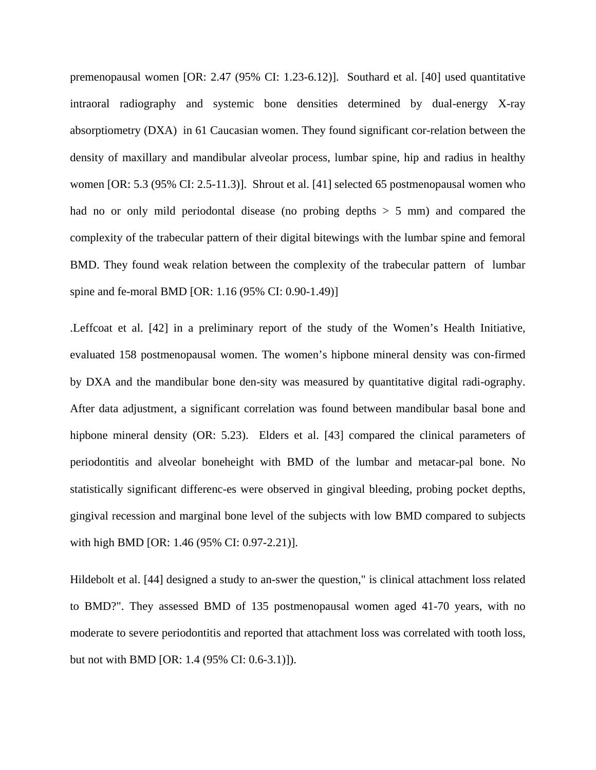premenopausal women [OR: 2.47 (95% CI: 1.23-6.12)]. Southard et al. [40] used quantitative intraoral radiography and systemic bone densities determined by dual-energy X-ray absorptiometry (DXA) in 61 Caucasian women. They found significant cor-relation between the density of maxillary and mandibular alveolar process, lumbar spine, hip and radius in healthy women [OR: 5.3 (95% CI: 2.5-11.3)]. Shrout et al. [41] selected 65 postmenopausal women who had no or only mild periodontal disease (no probing depths  $> 5$  mm) and compared the complexity of the trabecular pattern of their digital bitewings with the lumbar spine and femoral BMD. They found weak relation between the complexity of the trabecular pattern of lumbar spine and fe-moral BMD [OR: 1.16 (95% CI: 0.90-1.49)]

.Leffcoat et al. [42] in a preliminary report of the study of the Women's Health Initiative, evaluated 158 postmenopausal women. The women's hipbone mineral density was con-firmed by DXA and the mandibular bone den-sity was measured by quantitative digital radi-ography. After data adjustment, a significant correlation was found between mandibular basal bone and hipbone mineral density (OR: 5.23). Elders et al. [43] compared the clinical parameters of periodontitis and alveolar boneheight with BMD of the lumbar and metacar-pal bone. No statistically significant differenc-es were observed in gingival bleeding, probing pocket depths, gingival recession and marginal bone level of the subjects with low BMD compared to subjects with high BMD [OR: 1.46 (95% CI: 0.97-2.21)].

Hildebolt et al. [44] designed a study to an-swer the question," is clinical attachment loss related to BMD?". They assessed BMD of 135 postmenopausal women aged 41-70 years, with no moderate to severe periodontitis and reported that attachment loss was correlated with tooth loss, but not with BMD [OR: 1.4 (95% CI: 0.6-3.1)]).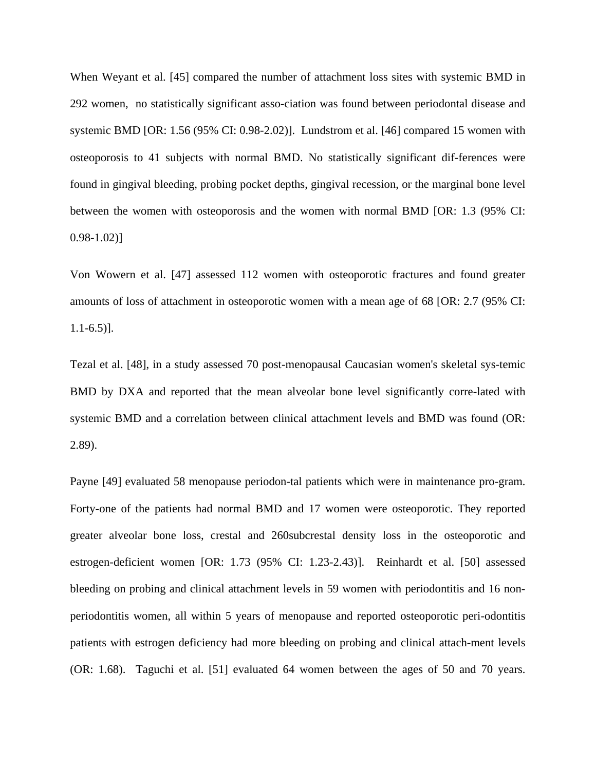When Weyant et al. [45] compared the number of attachment loss sites with systemic BMD in 292 women, no statistically significant asso-ciation was found between periodontal disease and systemic BMD [OR: 1.56 (95% CI: 0.98-2.02)]. Lundstrom et al. [46] compared 15 women with osteoporosis to 41 subjects with normal BMD. No statistically significant dif-ferences were found in gingival bleeding, probing pocket depths, gingival recession, or the marginal bone level between the women with osteoporosis and the women with normal BMD [OR: 1.3 (95% CI:  $0.98 - 1.02$ ]

Von Wowern et al. [47] assessed 112 women with osteoporotic fractures and found greater amounts of loss of attachment in osteoporotic women with a mean age of 68 [OR: 2.7 (95% CI:  $1.1-6.5$ ].

Tezal et al. [48], in a study assessed 70 post-menopausal Caucasian women's skeletal sys-temic BMD by DXA and reported that the mean alveolar bone level significantly corre-lated with systemic BMD and a correlation between clinical attachment levels and BMD was found (OR: 2.89).

Payne [49] evaluated 58 menopause periodon-tal patients which were in maintenance pro-gram. Forty-one of the patients had normal BMD and 17 women were osteoporotic. They reported greater alveolar bone loss, crestal and 260subcrestal density loss in the osteoporotic and estrogen-deficient women [OR: 1.73 (95% CI: 1.23-2.43)]. Reinhardt et al. [50] assessed bleeding on probing and clinical attachment levels in 59 women with periodontitis and 16 nonperiodontitis women, all within 5 years of menopause and reported osteoporotic peri-odontitis patients with estrogen deficiency had more bleeding on probing and clinical attach-ment levels (OR: 1.68). Taguchi et al. [51] evaluated 64 women between the ages of 50 and 70 years.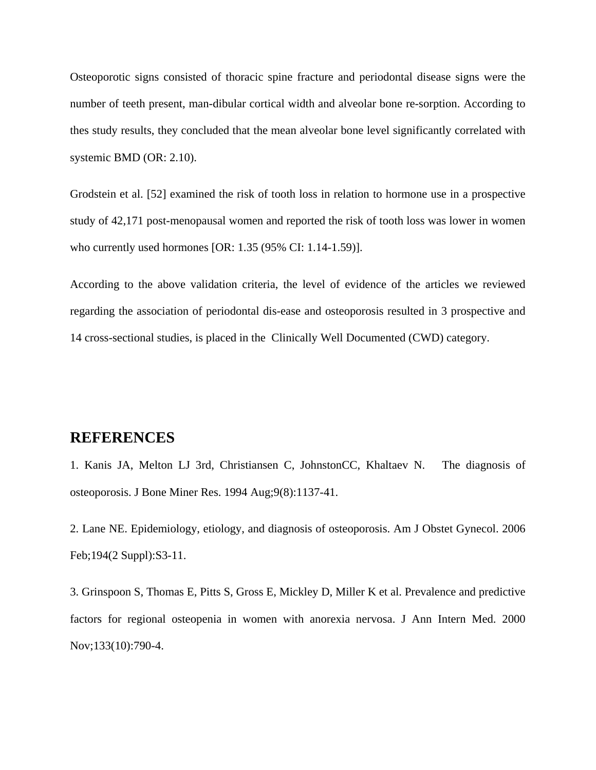Osteoporotic signs consisted of thoracic spine fracture and periodontal disease signs were the number of teeth present, man-dibular cortical width and alveolar bone re-sorption. According to thes study results, they concluded that the mean alveolar bone level significantly correlated with systemic BMD (OR: 2.10).

Grodstein et al. [52] examined the risk of tooth loss in relation to hormone use in a prospective study of 42,171 post-menopausal women and reported the risk of tooth loss was lower in women who currently used hormones [OR: 1.35 (95% CI: 1.14-1.59)].

According to the above validation criteria, the level of evidence of the articles we reviewed regarding the association of periodontal dis-ease and osteoporosis resulted in 3 prospective and 14 cross-sectional studies, is placed in the Clinically Well Documented (CWD) category.

### **REFERENCES**

1. Kanis JA, Melton LJ 3rd, Christiansen C, JohnstonCC, Khaltaev N. The diagnosis of osteoporosis. J Bone Miner Res. 1994 Aug;9(8):1137-41.

2. Lane NE. Epidemiology, etiology, and diagnosis of osteoporosis. Am J Obstet Gynecol. 2006 Feb;194(2 Suppl):S3-11.

3. Grinspoon S, Thomas E, Pitts S, Gross E, Mickley D, Miller K et al. Prevalence and predictive factors for regional osteopenia in women with anorexia nervosa. J Ann Intern Med. 2000 Nov;133(10):790-4.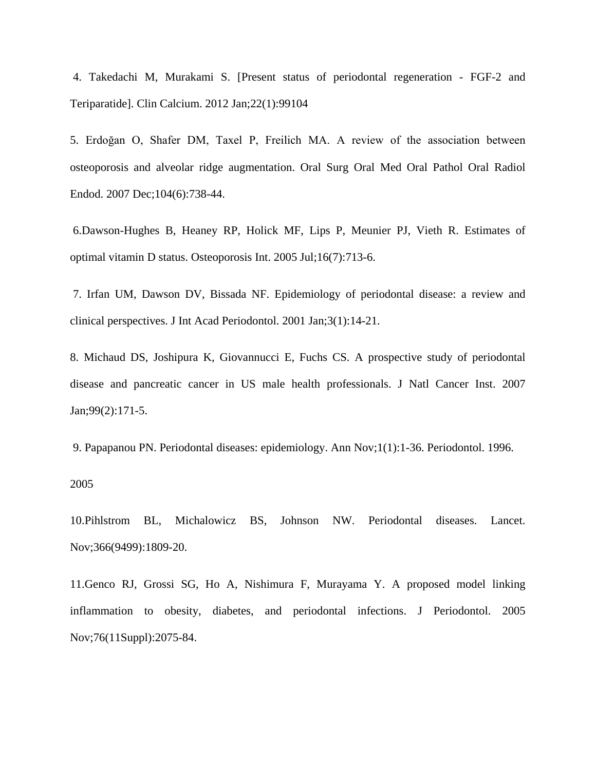4. Takedachi M, Murakami S. [Present status of periodontal regeneration - FGF-2 and Teriparatide]. Clin Calcium. 2012 Jan;22(1):99104

5. Erdoğan O, Shafer DM, Taxel P, Freilich MA. A review of the association between osteoporosis and alveolar ridge augmentation. Oral Surg Oral Med Oral Pathol Oral Radiol Endod. 2007 Dec;104(6):738-44.

6.Dawson-Hughes B, Heaney RP, Holick MF, Lips P, Meunier PJ, Vieth R. Estimates of optimal vitamin D status. Osteoporosis Int. 2005 Jul;16(7):713-6.

7. Irfan UM, Dawson DV, Bissada NF. Epidemiology of periodontal disease: a review and clinical perspectives. J Int Acad Periodontol. 2001 Jan;3(1):14-21.

8. Michaud DS, Joshipura K, Giovannucci E, Fuchs CS. A prospective study of periodontal disease and pancreatic cancer in US male health professionals. J Natl Cancer Inst. 2007 Jan;99(2):171-5.

9. Papapanou PN. Periodontal diseases: epidemiology. Ann Nov;1(1):1-36. Periodontol. 1996.

#### 2005

10.Pihlstrom BL, Michalowicz BS, Johnson NW. Periodontal diseases. Lancet. Nov;366(9499):1809-20.

11.Genco RJ, Grossi SG, Ho A, Nishimura F, Murayama Y. A proposed model linking inflammation to obesity, diabetes, and periodontal infections. J Periodontol. 2005 Nov;76(11Suppl):2075-84.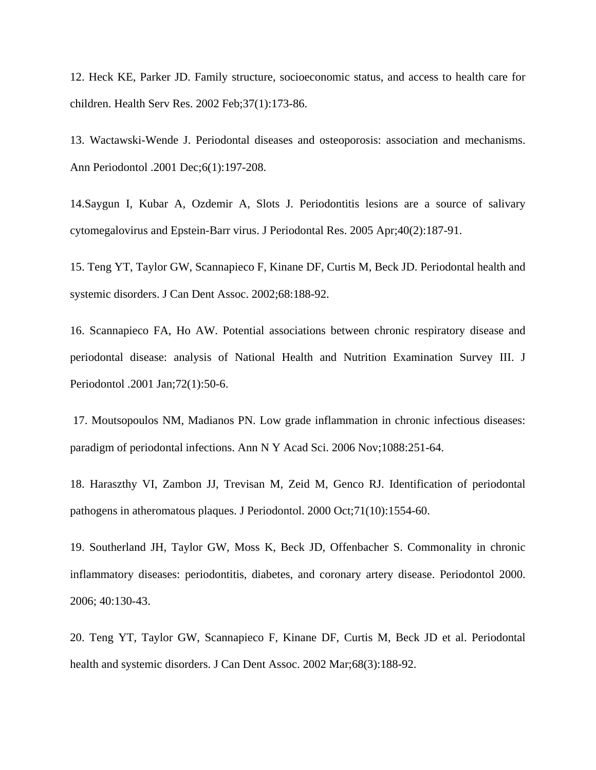12. Heck KE, Parker JD. Family structure, socioeconomic status, and access to health care for children. Health Serv Res. 2002 Feb;37(1):173-86.

13. Wactawski-Wende J. Periodontal diseases and osteoporosis: association and mechanisms. Ann Periodontol .2001 Dec;6(1):197-208.

14.Saygun I, Kubar A, Ozdemir A, Slots J. Periodontitis lesions are a source of salivary cytomegalovirus and Epstein-Barr virus. J Periodontal Res. 2005 Apr;40(2):187-91.

15. Teng YT, Taylor GW, Scannapieco F, Kinane DF, Curtis M, Beck JD. Periodontal health and systemic disorders. J Can Dent Assoc. 2002;68:188-92.

16. Scannapieco FA, Ho AW. Potential associations between chronic respiratory disease and periodontal disease: analysis of National Health and Nutrition Examination Survey III. J Periodontol .2001 Jan;72(1):50-6.

17. Moutsopoulos NM, Madianos PN. Low grade inflammation in chronic infectious diseases: paradigm of periodontal infections. Ann N Y Acad Sci. 2006 Nov;1088:251-64.

18. Haraszthy VI, Zambon JJ, Trevisan M, Zeid M, Genco RJ. Identification of periodontal pathogens in atheromatous plaques. J Periodontol. 2000 Oct;71(10):1554-60.

19. Southerland JH, Taylor GW, Moss K, Beck JD, Offenbacher S. Commonality in chronic inflammatory diseases: periodontitis, diabetes, and coronary artery disease. Periodontol 2000. 2006; 40:130-43.

20. Teng YT, Taylor GW, Scannapieco F, Kinane DF, Curtis M, Beck JD et al. Periodontal health and systemic disorders. J Can Dent Assoc. 2002 Mar;68(3):188-92.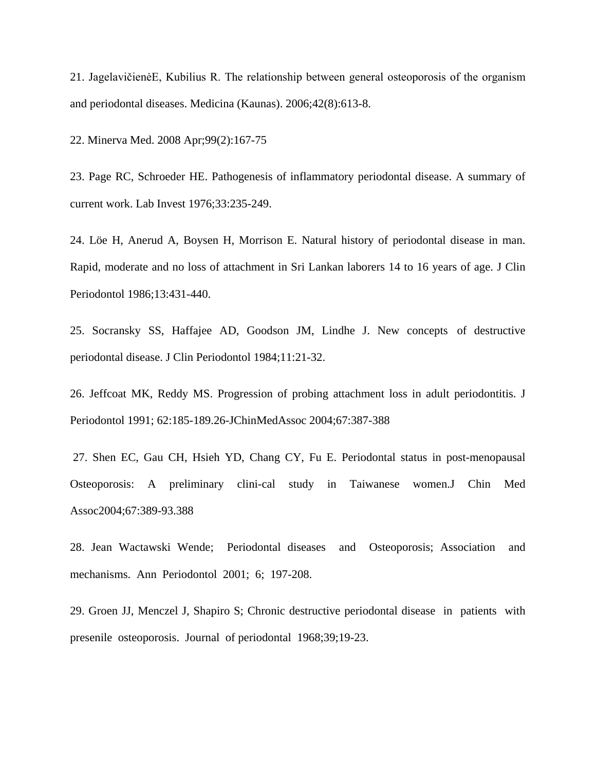21. JagelavičienėE, Kubilius R. The relationship between general osteoporosis of the organism and periodontal diseases. Medicina (Kaunas). 2006;42(8):613-8.

22. Minerva Med. 2008 Apr;99(2):167-75

23. Page RC, Schroeder HE. Pathogenesis of inflammatory periodontal disease. A summary of current work. Lab Invest 1976;33:235-249.

24. Löe H, Anerud A, Boysen H, Morrison E. Natural history of periodontal disease in man. Rapid, moderate and no loss of attachment in Sri Lankan laborers 14 to 16 years of age. J Clin Periodontol 1986;13:431-440.

25. Socransky SS, Haffajee AD, Goodson JM, Lindhe J. New concepts of destructive periodontal disease. J Clin Periodontol 1984;11:21-32.

26. Jeffcoat MK, Reddy MS. Progression of probing attachment loss in adult periodontitis. J Periodontol 1991; 62:185-189.26-JChinMedAssoc 2004;67:387-388

27. Shen EC, Gau CH, Hsieh YD, Chang CY, Fu E. Periodontal status in post-menopausal Osteoporosis: A preliminary clini-cal study in Taiwanese women.J Chin Med Assoc2004;67:389-93.388

28. Jean Wactawski Wende; Periodontal diseases and Osteoporosis; Association and mechanisms. Ann Periodontol 2001; 6; 197-208.

29. Groen JJ, Menczel J, Shapiro S; Chronic destructive periodontal disease in patients with presenile osteoporosis. Journal of periodontal 1968;39;19-23.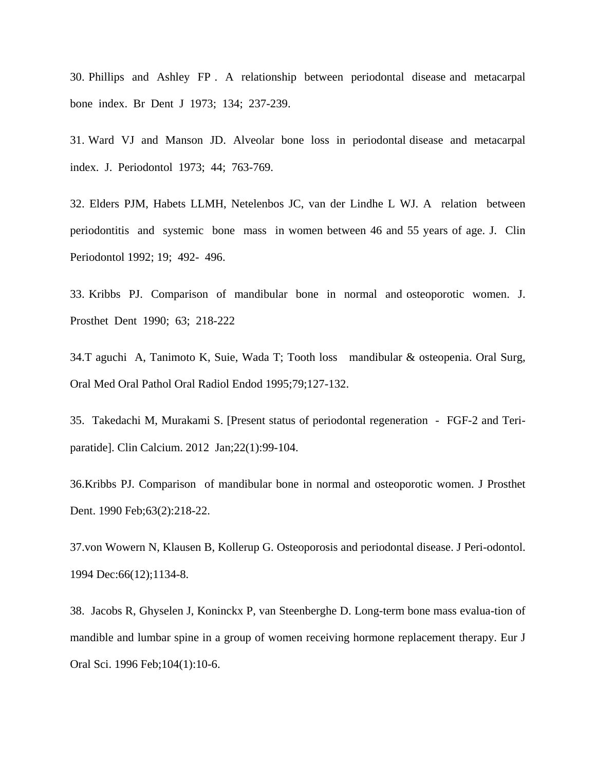30. Phillips and Ashley FP . A relationship between periodontal disease and metacarpal bone index. Br Dent J 1973; 134; 237-239.

31. Ward VJ and Manson JD. Alveolar bone loss in periodontal disease and metacarpal index. J. Periodontol 1973; 44; 763-769.

32. Elders PJM, Habets LLMH, Netelenbos JC, van der Lindhe L WJ. A relation between periodontitis and systemic bone mass in women between 46 and 55 years of age. J. Clin Periodontol 1992; 19; 492- 496.

33. Kribbs PJ. Comparison of mandibular bone in normal and osteoporotic women. J. Prosthet Dent 1990; 63; 218-222

34.T aguchi A, Tanimoto K, Suie, Wada T; Tooth loss mandibular & osteopenia. Oral Surg, Oral Med Oral Pathol Oral Radiol Endod 1995;79;127-132.

35. Takedachi M, Murakami S. [Present status of periodontal regeneration - FGF-2 and Teriparatide]. Clin Calcium. 2012 Jan;22(1):99-104.

36.Kribbs PJ. Comparison of mandibular bone in normal and osteoporotic women. J Prosthet Dent. 1990 Feb;63(2):218-22.

37.von Wowern N, Klausen B, Kollerup G. Osteoporosis and periodontal disease. J Peri-odontol. 1994 Dec:66(12);1134-8.

38. Jacobs R, Ghyselen J, Koninckx P, van Steenberghe D. Long-term bone mass evalua-tion of mandible and lumbar spine in a group of women receiving hormone replacement therapy. Eur J Oral Sci. 1996 Feb;104(1):10-6.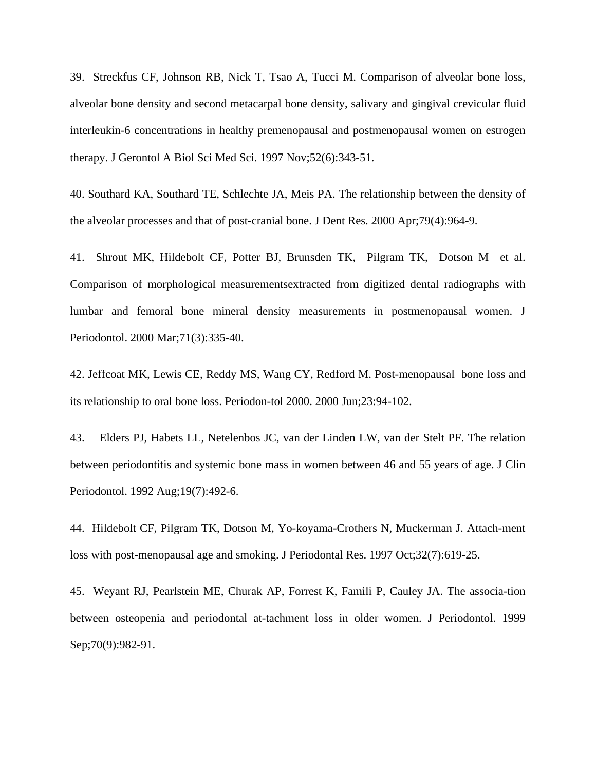39. Streckfus CF, Johnson RB, Nick T, Tsao A, Tucci M. Comparison of alveolar bone loss, alveolar bone density and second metacarpal bone density, salivary and gingival crevicular fluid interleukin-6 concentrations in healthy premenopausal and postmenopausal women on estrogen therapy. J Gerontol A Biol Sci Med Sci. 1997 Nov;52(6):343-51.

40. Southard KA, Southard TE, Schlechte JA, Meis PA. The relationship between the density of the alveolar processes and that of post-cranial bone. J Dent Res. 2000 Apr;79(4):964-9.

41. Shrout MK, Hildebolt CF, Potter BJ, Brunsden TK, Pilgram TK, Dotson M et al. Comparison of morphological measurementsextracted from digitized dental radiographs with lumbar and femoral bone mineral density measurements in postmenopausal women. J Periodontol. 2000 Mar;71(3):335-40.

42. Jeffcoat MK, Lewis CE, Reddy MS, Wang CY, Redford M. Post-menopausal bone loss and its relationship to oral bone loss. Periodon-tol 2000. 2000 Jun;23:94-102.

43. Elders PJ, Habets LL, Netelenbos JC, van der Linden LW, van der Stelt PF. The relation between periodontitis and systemic bone mass in women between 46 and 55 years of age. J Clin Periodontol. 1992 Aug;19(7):492-6.

44. Hildebolt CF, Pilgram TK, Dotson M, Yo-koyama-Crothers N, Muckerman J. Attach-ment loss with post-menopausal age and smoking. J Periodontal Res. 1997 Oct;32(7):619-25.

45. Weyant RJ, Pearlstein ME, Churak AP, Forrest K, Famili P, Cauley JA. The associa-tion between osteopenia and periodontal at-tachment loss in older women. J Periodontol. 1999 Sep;70(9):982-91.